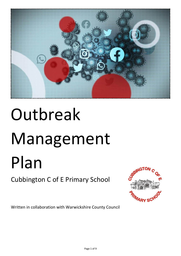

# Outbreak Management Plan

# Cubbington C of E Primary School



Written in collaboration with Warwickshire County Council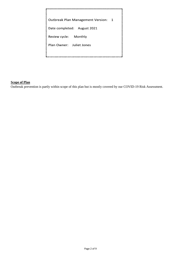Outbreak Plan Management Version: 1 Date completed: August 2021 Review cycle: Monthly Plan Owner: Juliet Jones

# **Scope of Plan**

Outbreak prevention is partly within scope of this plan but is mostly covered by our COVID-19 Risk Assessment.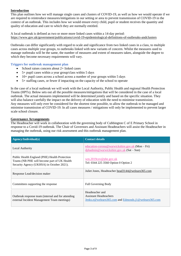# **Introduction**

This plan outlines how we will manage single cases and clusters of COVID-19, as well as how we would operate if we are required to reintroduce measures/mitigations in our setting or area to prevent transmission of COVID-19 in the context of an outbreak. This includes how we would ensure every child, pupil or student receives the quantity and quality of education and care to which they are normally entitled.

A local outbreak is defined as two or more more linked cases within a 14-day period: [https://www.gov.uk/government/publications/covid-19-epidemiological-definitions-of-outbreaks-andclusters](https://www.gov.uk/government/publications/covid-19-epidemiological-definitions-of-outbreaks-and-clusters)

Outbreaks can differ significantly with regard to scale and significance from two linked cases in a class, to multiple cases across multiple year groups, to outbreaks linked with new variants of concern. Whilst the measures used to manage outbreaks will be the same, the number of measures and extent of measures taken, alongside the degree to which they become necessary requirements will vary.

# **Triggers for outbreak management plan**

- $\bullet$  School raises concern about  $2+$  linked cases
- 5+ pupil cases within a year group/class within 5 days
- 10+ pupil cases across a school across a number of year groups within 5 days
- 5+ staffing cases, or fewer if impacting on the capacity of the school to operate

In the case of a local outbreak we will work with the Local Authority, Public Health and regional Health Protection Teams (HPTs). Below sets out all the possible measures/mitigations that will be considered in the case of a local outbreak. The actual measures implemented will be determined jointly and based on the specific situation. They will also balance carefully the impact on the delivery of education with the need to minimise transmission. Any measures will only ever be considered for the shortest time possible, to allow the outbreak to be managed and minimise transmission of COVID-19. In all cases measures / mitigations will only be implemented to prevent larger scale school closure.

# **Governance Arrangements**

The Headteacher will work in collaboration with the governing body of Cubbington C of E Primary School in response to a Covid-19 outbreak. The Chair of Governors and Assistant Headteachers will assist the Headteacher in managing the outbreak, using our risk assessment and this outbreak management plan.

| <b>Agency/Individual(s)</b>                                                                                                               | <b>Contact details</b>                                                                                   |
|-------------------------------------------------------------------------------------------------------------------------------------------|----------------------------------------------------------------------------------------------------------|
| Local Authority                                                                                                                           | education-corona@warwickshire.gov.uk (Mon – Fri)<br>dphadmin@warwickshire.gov.uk $(Sat-Sun)$             |
| Public Health England (PHE) Health Protection<br>Teams (NB PHE will become part of UK Health<br>Security Agency (UKHSA) in October 2021). | wm.2019cov@phe.gov.uk<br>Tel: 0344 225 3560 Option 0 Option 2                                            |
| Response Lead/decision maker                                                                                                              | Juliet Jones, Headteacher head 3144@welearn 365.com                                                      |
| Committees supporting the response                                                                                                        | <b>Full Governing Body</b>                                                                               |
| Outbreak response team (internal and for attending<br>external Incident Management Team meetings)                                         | Headteacher and<br><b>Assistant Headteachers</b><br>Jenks.e@welearn365.com and Edmonds.j1@welearn365.com |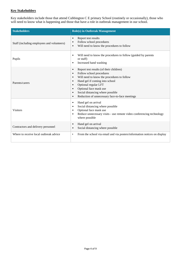# **Key Stakeholders**

Key stakeholders include those that attend Cubbington C E primary School (routinely or occasionally), those who will need to know what is happening and those that have a role in outbreak management in our school.

| <b>Stakeholders</b>                        | <b>Role(s) in Outbreak Management</b>                                                                                                                                                                                                                                                                                                                                                               |  |  |
|--------------------------------------------|-----------------------------------------------------------------------------------------------------------------------------------------------------------------------------------------------------------------------------------------------------------------------------------------------------------------------------------------------------------------------------------------------------|--|--|
| Staff (including employees and volunteers) | Report test results<br>$\bullet$<br>Follow school procedures<br>$\bullet$<br>Will need to know the procedures to follow<br>$\bullet$                                                                                                                                                                                                                                                                |  |  |
| Pupils                                     | Will need to know the procedures to follow (guided by parents<br>$\bullet$<br>or staff)<br>Increased hand washing<br>$\bullet$                                                                                                                                                                                                                                                                      |  |  |
| Parents/carers                             | Report test results (of their children)<br>$\bullet$<br>Follow school procedures<br>$\bullet$<br>Will need to know the procedures to follow<br>$\bullet$<br>Hand gel if coming into school<br>$\bullet$<br>Optional regular LFT<br>$\bullet$<br>Optional face mask use<br>$\bullet$<br>Social distancing where possible<br>$\bullet$<br>Reduction of unnecessary face-to-face meetings<br>$\bullet$ |  |  |
| <b>Visitors</b>                            | Hand gel on arrival<br>$\bullet$<br>Social distancing where possible<br>٠<br>Optional face mask use<br>٠<br>Reduce unnecessary visits - use remote video conferencing technology<br>٠<br>where possible                                                                                                                                                                                             |  |  |
| Contractors and delivery personnel         | Hand gel on arrival<br>$\bullet$<br>Social distancing where possible<br>$\bullet$                                                                                                                                                                                                                                                                                                                   |  |  |
| Where to receive local outbreak advice     | From the school via email and via posters/information notices on display<br>$\bullet$                                                                                                                                                                                                                                                                                                               |  |  |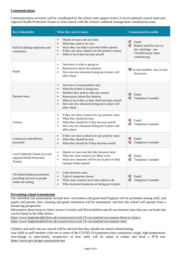# **Communications**

Communications activities will be coordinated by the school with support from LA local outbreak control team and regional Health Protection Teams in close liaison with the school's outbreak management coordination team.

| <b>Key Stakeholder</b>                                                                | What they need to know                                                                                                                                                                                                                                                                                                                    | <b>Communication media</b>                                                                             |  |
|---------------------------------------------------------------------------------------|-------------------------------------------------------------------------------------------------------------------------------------------------------------------------------------------------------------------------------------------------------------------------------------------------------------------------------------------|--------------------------------------------------------------------------------------------------------|--|
| Staff (including employees and<br>volunteers)                                         | Details of cases and any links<br>$\bullet$<br>What they need to do next<br>$\bullet$<br>Ways they can help to prevent further spread<br>If they are close contacts for the positive case(s)<br>What to do if they become unwell<br>$\bullet$                                                                                             | ☑<br>Email<br>☑<br>Reduce need for face to-<br>face meetings - use<br>TEAMS/Zoom video<br>conferencing |  |
| Pupils                                                                                | Overview of what is going on<br>$\bullet$<br>Reassurance about the situation<br>$\bullet$<br>How any new measures being put in place will<br>$\bullet$<br>affect them                                                                                                                                                                     | In class bubbles, face to-face<br>discussion                                                           |  |
| Parents/carers                                                                        | Overview of anonymised cases<br>$\bullet$<br>What the school is doing now<br>$\bullet$<br>Whether they need to take any actions<br>$\bullet$<br>Reassurance about the situation<br>$\bullet$<br>What to do if they or their child becomes unwell<br>$\bullet$<br>How any new measures being put in place will<br>$\bullet$<br>affect them | ॼ<br>Email<br>☑<br>Telephone if needed                                                                 |  |
| <b>Visitors</b>                                                                       | If they are close contacts for any positive cases<br>$\bullet$<br>What they should do next<br>$\bullet$<br>What they should do if they become unwell<br>$\bullet$<br>How any new measures being put in place will<br>$\bullet$<br>affect them                                                                                             | ॼ<br>Email<br>✔<br>Telephone if needed                                                                 |  |
| Contractors and delivery<br>personnel                                                 | If they are close contacts for any positive cases<br>What they should do next<br>$\bullet$<br>What they should do if they become unwell<br>$\bullet$                                                                                                                                                                                      | ☑<br>Email<br>Telephone if needed                                                                      |  |
| Local Outbreak Teams (LA and<br>regional Health Protection<br>Teams)                  | Details of cases and the links between them<br>$\bullet$<br>What the close contacts are likely to be<br>$\bullet$<br>What new measures will be put in place to help<br>manage further spread                                                                                                                                              | ☑<br>Email<br>Telephone if needed<br>ॼ                                                                 |  |
| GPs/allied health practitioners<br>providing services to people<br>within the setting | Links between cases<br>$\bullet$<br>Typical symptoms shown<br>$\bullet$<br>What close contacts have been asked to do<br>$\bullet$<br>What increased measures are being put in place<br>$\bullet$                                                                                                                                          | Email<br>м<br>Telephone if needed<br>☑                                                                 |  |

#### **Preventing school transmission**

Our refreshed risk assessments include how vaccination and good hand hygiene will be promoted among staff, and pupils and parents, how cleaning and good ventilation will be maintained, and how the school will operate from a distancing perspective.

Information about drop-in clinics across Coventry and Warwickshire and all vaccinations sites that you can book into can be found in the links below:

<https://www.happyhealthylives.uk/coronavirus/covid-19-vaccination/vaccination-drop-in-clinics/> <https://www.happyhealthylives.uk/coronavirus/covid-19-vaccination/vaccination-sites/>

Children and staff who are unwell will be advised that they should not attend school/setting.

Any child or staff member with one or more of the COVID-19 symptoms (new continuous cough, high temperature, loss/change in taste/smell), irrespective of how mild, will be asked to isolate and book a PCR test: <https://www.gov.uk/get-coronavirus-test>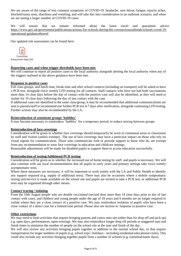We are aware of the range of less common symptoms of COVID-19: headache, sore throat, fatigue, muscle aches, blocked/runny nose, diarrhoea and vomiting, and will take this into consideration in an outbreak scenario, and when we are seeing a larger number of COVID-19 cases.

We will ensure that we remain informed about the latest travel and quarantine advice: [https://www.gov.uk/government/publications/actions-for-schools-during-the-coronavirusoutbreak/schools-covid-19](https://www.gov.uk/government/publications/actions-for-schools-during-the-coronavirus-outbreak/schools-covid-19-operational-guidance#travel) [operational-guidance#travel](https://www.gov.uk/government/publications/actions-for-schools-during-the-coronavirus-outbreak/schools-covid-19-operational-guidance#travel)

Our updated risk assessment can be found here:



# **Reporting cases and when trigger thresholds have been met**

We will continue to report all positive cases to the local authority alongside alerting the local authority when any of the triggers outlined in the above guidance have been met.

#### **Response to positive cases**

Full class groups, and lunch time, break time and after school contacts (including on transport) will be asked to have a PCR test, alongside twice weekly LFD testing for all contacts. Staff contacts who have not had both vaccinations more than 14 clear days before the day of contact with the positive case will also be identified, as they will need to isolate for 10 clear days following the day of last contact with the case.

If additional cases are identified in the same class/group, it may be recommended that additional communications are sent to parents/staff to recommend one further PCR test 4-7 days after notification, alongside continuing LFD testing. Further actions may also be recommended by the LA.

#### **Reintroduction of consistent groups 'bubbles'**

It may become necessary to reintroduce 'bubbles' for a temporary period, to reduce mixing between groups.

#### **Reintroduction of face coverings**

Consideration will be given to whether face coverings should temporarily be worn in communal areas or classrooms by staff and visitors (unless exempt). The use of face coverings may have a particular impact on those who rely on visual signals for communication. Those who communicate with or provide support to those who do, are exempt from any recommendation to wear face coverings in education and childcare settings.

Reasonable adjustments will be made for disabled pupils to support them to access education successfully.

#### **Reintroduction of testing/Additional PCR testing**

Consideration will be given as to whether the increased use of home testing by staff, and pupils is necessary. We will also continue with our local recommendation that all pupils in early years and primary settings take twice weekly asymptomatic tests.

Where these measures are necessary, it will be important to work jointly with the LA and Public Health to identify any support required (e.g. supply of additional tests). There may also be occasions where a mobile symptomatic testing unit/service is made available on the school site and pupils are invited to take a PCR test, or additional PCR tests may be organised through other means.

#### **Contact tracing / isolating**

From the 16th August people who are double vaccinated (second dose more than 14 clear days prior to day of last contact with case), and children and young people under the age of 18 years and 6 months are no longer required to isolate where they are a close contact of a positive case. We may reintroduce isolation of pupils who have been a close contact of a direct case for a limited time period. Please also see section re: response to positive case.

#### **Other restrictions**

We may need to limit activities that require bringing parents and carers onto site (other than for drop off and pick up) e.g. open days, performances, open evenings. We may also reintroduce longer drop off periods or staggered start and finish times to minimise the number of people on the school site at the start and finish of the day.

We will also review any activities bringing pupils together in addition to the normal school day, or that require transportation for larger numbers of pupils (e.g. school trips / holidays - including residential educational visits). This could also include any activities bringing together pupils from a number of schools (e.g. transition/taster days).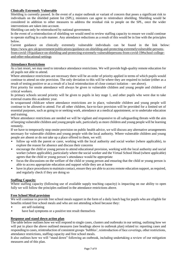# **Clinically Extremely Vulnerable**

Shielding is currently paused. In the event of a major outbreak or variant of concern that poses a significant risk to individuals on the shielded patient list (SPL), ministers can agree to reintroduce shielding. Shielding would be considered in addition to other measures to address the residual risk to people on the SPL, once the wider interventions are taken into account.

Shielding can only be reintroduced by national government.

In the event of a reintroduction of shielding we would need to review staffing capacity to ensure we could continue to operate staffing in a safe manner. Any attendance reductions as a result of this would be in line with the principles below.

Current guidance on clinically extremely vulnerable individuals can be found in the link below: [https://www.gov.uk/government/publications/guidance-on-shielding-and-protecting-extremelyvulnerable-persons](https://www.gov.uk/government/publications/guidance-on-shielding-and-protecting-extremely-vulnerable-persons-from-covid-19/guidance-on-shielding-and-protecting-extremely-vulnerable-persons-from-covid-19#school-college-and-other-educational-settings)[from-covid-19/guidance-on-shielding-and-protecting-extremely-vulnerablepersons-from-covid-19#school-college](https://www.gov.uk/government/publications/guidance-on-shielding-and-protecting-extremely-vulnerable-persons-from-covid-19/guidance-on-shielding-and-protecting-extremely-vulnerable-persons-from-covid-19#school-college-and-other-educational-settings)[and-other-educational-settings](https://www.gov.uk/government/publications/guidance-on-shielding-and-protecting-extremely-vulnerable-persons-from-covid-19/guidance-on-shielding-and-protecting-extremely-vulnerable-persons-from-covid-19#school-college-and-other-educational-settings)

# **Attendance Restrictions**

As a last resort, we may need to introduce attendance restrictions. We will provide high-quality remote education for all pupils not able to attend.

Where attendance restrictions are necessary there will be an order of priority applied in terms of which pupils would continue to attend on-site provision. The only deviation to this will be where they are required to isolate (either as a result of testing positive or as a result of a local reintroduction of close contact isolation – see above).

First priority for onsite attendance will always be given to vulnerable children and young people and children of critical workers.

In primary schools second priority will be given to pupils in key stage 1, and other pupils who were due to take external exams this academic year.

In wraparound childcare where attendance restrictions are in place, vulnerable children and young people will continue to be allowed to attend. For all other children, face-to-face provision will be provided for a limited set of essential purposes, such as going to or seeking work, attendance at a medical appointment, or to undertake education and training.

Where attendance restrictions are needed we will be vigilant and responsive to all safeguarding threats with the aim of keeping vulnerable children and young people safe, particularly as more children and young people will be learning remotely.

If we have to temporarily stop onsite provision on public health advice, we will discuss any alternative arrangements necessary for vulnerable children and young people with the local authority. Where vulnerable children and young people are absent or do not take up a place offered to them, we will:

- follow up with the parent or carer, working with the local authority and social worker (where applicable), to explore the reason for absence and discuss their concerns
- encourage the child or young person to attend educational provision, working with the local authority and social worker (where applicable), particularly where the social worker and the Virtual School Head (where applicable) agrees that the child or young person's attendance would be appropriate
- focus the discussions on the welfare of the child or young person and ensuring that the child or young person is able to access appropriate education and support while they are at home
- have in place procedures to maintain contact, ensure they are able to access remote education support, as required, and regularly check if they are doing so

# **Staffing Capacity**

Where staffing capacity (following use of available supply teaching capacity) is impacting on our ability to open fully we will follow the principles outlined in the attendance restrictions above.

# **Free School Meal provision**

We will continue to provide free school meals support in the form of a daily lunch bag for pupils who are eligible for benefits related free school meals and who are not attending school because they:

- are self-isolating
- have had symptoms or a positive test result themselves

# **Response and stand down action plan**

The table below outlines how we will respond to single cases, clusters and outbreaks in our setting, outlining how we will put in place the above outlined measures (see headings above in outbreak plan) related to: reporting cases and responding to cases, reintroduction of consistent groups 'bubbles', reintroduction of face coverings, other restrictions, attendance restrictions, staffing capacity and free school meals.

It also outlines how we will "stand down" following an outbreak, including undertaking a review of our mitigation measures and of this plan.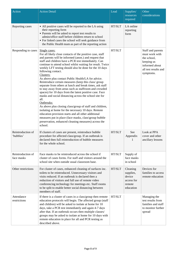| Action                          | <b>Action Detail</b>                                                                                                                                                                                                                                                                                                                                                                                                                                                                                                                                                                                                                                                                                                                                                                                                                                                                                                                                                                                                                     | Lead          | Supplies/<br>resources<br>required                                   | Other<br>considerations                                                                                                 |
|---------------------------------|------------------------------------------------------------------------------------------------------------------------------------------------------------------------------------------------------------------------------------------------------------------------------------------------------------------------------------------------------------------------------------------------------------------------------------------------------------------------------------------------------------------------------------------------------------------------------------------------------------------------------------------------------------------------------------------------------------------------------------------------------------------------------------------------------------------------------------------------------------------------------------------------------------------------------------------------------------------------------------------------------------------------------------------|---------------|----------------------------------------------------------------------|-------------------------------------------------------------------------------------------------------------------------|
| Reporting cases                 | • All positive cases will be reported to the LA using<br>their reporting form<br>• Parents will be asked to report test results to<br>admin/office staff before children return to school<br>• For linked cases the school will seek guidance from<br>the Public Health team as part of the reporting action                                                                                                                                                                                                                                                                                                                                                                                                                                                                                                                                                                                                                                                                                                                             | HT/SLT        | LA online<br>reporting<br>form                                       |                                                                                                                         |
| Responding to cases             | Single cases:<br>For all likely close contacts of the positive case, staff<br>and parents will be informed (anon.) and request that<br>staff and children have a PCR test immediately. Can<br>continue to attend school whilst waiting for result. Twice<br>weekly LFT testing should also be done for the 10 days<br>following contact.<br>Clusters:<br>As above plus contact Public Health/LA for advice.<br>Reintroduce certain measures (keep this class/group<br>separate from others at lunch and break times, ask staff<br>to stay away from areas such as staffroom and crowded<br>spaces) for 10 days from the latest positive case. Face<br>masks and social distancing across the school site for<br>all.<br>Outbreaks:<br>As above plus closing class/group of staff and children,<br>isolating at home for the necessary 10 days. Remote<br>education provision starts and all other additional<br>measures put in place (face masks, class\group bubble<br>preservation, enhanced cleaning measures) across the<br>school. | HT/SLT        |                                                                      | Staff and parents<br>must work with<br>the school,<br>keeping us<br>informed about<br>all test results and<br>symptoms. |
| Reintroduction of<br>'bubbles'  | If clusters of cases are present, reintroduce bubble<br>procedure for affected class/group. If an outbreak is<br>declared then full reintroduction of bubble measures<br>for the whole school.                                                                                                                                                                                                                                                                                                                                                                                                                                                                                                                                                                                                                                                                                                                                                                                                                                           | HT/SLT        | See<br>Appendix<br>1                                                 | Look at PPA<br>cover and other<br>ancillary lessons                                                                     |
| Reintroduction of<br>face masks | Face masks to be reintroduced across the school if<br>cluster of cases forms. For staff and visitors around the<br>school site when outside usual classroom base.                                                                                                                                                                                                                                                                                                                                                                                                                                                                                                                                                                                                                                                                                                                                                                                                                                                                        | HT/SLT        | Supply of<br>face masks<br>in school                                 |                                                                                                                         |
| Other restrictions              | For cluster of cases, enhanced cleaning of surfaces inc.<br>toilets to be reintroduced. Unnecessary visitors and<br>visits reduced. If an outbreak is declared then a<br>reduction of visitors and full use of remote video<br>conferencing technology for meetings etc. Staff rooms<br>to be split to enable better social distancing between<br>members of staff.                                                                                                                                                                                                                                                                                                                                                                                                                                                                                                                                                                                                                                                                      | HT/SLT        | Cleaning<br>supplies,<br>device<br>access for<br>remote<br>education | Devices for<br>families to access<br>remote education                                                                   |
| Attendance<br>restrictions      | If there is a cluster of cases in a class/group then remote<br>education protocols will begin. The affected group (staff<br>and children) will be asked to isolate at home for 10<br>days, take a PCR test immediately and again 4-7 days<br>after that. If an outbreak occurs then multiple classes/<br>groups may be asked to isolate at home for 10 days with<br>remote education in place for all and PCR testing as<br>described above.                                                                                                                                                                                                                                                                                                                                                                                                                                                                                                                                                                                             | <b>HT/SLT</b> |                                                                      | Managing the<br>test results from<br>families and staff<br>to monitor further<br>spread                                 |